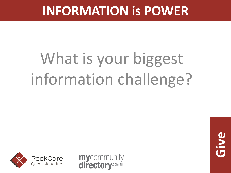# What is your biggest information challenge?



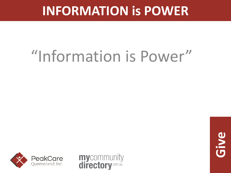# "Information is Power"



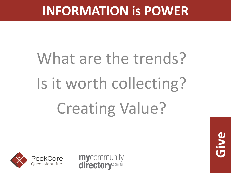# What are the trends? Is it worth collecting? Creating Value?



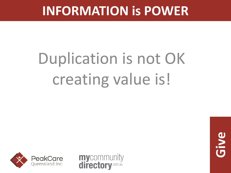# Duplication is not OK creating value is!



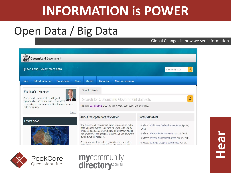### Open Data / Big Data

PeakCare Queensland Inc.

### Global Changes in how we see information

| <b>Queensland Government</b>                                                                                                                                                              |                                                                                                                                                                                                                                                                                                                                                                                                                     |                                                                                                                                                                                                                                            |
|-------------------------------------------------------------------------------------------------------------------------------------------------------------------------------------------|---------------------------------------------------------------------------------------------------------------------------------------------------------------------------------------------------------------------------------------------------------------------------------------------------------------------------------------------------------------------------------------------------------------------|--------------------------------------------------------------------------------------------------------------------------------------------------------------------------------------------------------------------------------------------|
| Queensland Government data                                                                                                                                                                |                                                                                                                                                                                                                                                                                                                                                                                                                     | Search for data                                                                                                                                                                                                                            |
| Request data<br>Dataset categories<br>Home                                                                                                                                                | About<br>Maps and geospatial<br>Contact<br>Data event                                                                                                                                                                                                                                                                                                                                                               |                                                                                                                                                                                                                                            |
| Premier's message<br>Queensland is a great state with great<br>opportunity. This government is committed<br>to opening up more opportunities through the open<br>data revolution.<br>More | Search datasets<br>Search for Queensland Government datasets<br>There are 207 datasets that you can browse, learn about and download.                                                                                                                                                                                                                                                                               |                                                                                                                                                                                                                                            |
| Latest news                                                                                                                                                                               | About the open data revolution<br>The Queensland Government will release as much public<br>data as possible, free to anyone who wishes to use it.<br>This data has been gathered using public money and is<br>the property of the people of Queensland and so, where<br>suitable, we will release it.<br>As a government we collect, generate and use a lot of<br>colorado para pinto con constituição da partida e | Latest datasets<br>» Updated Wild Rivers Declared Areas Series Apr 14,<br>2013<br>> Updated Wetland Protection series Apr 14, 2013<br>> Updated Wetland Management series Apr 14, 2013<br>> Updated Strategic Cropping Land Series Apr 14, |

mycommunity<br>directory.com.au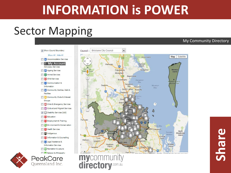### Sector Mapping

### My Community Directory

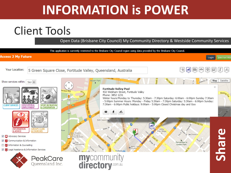### Client Tools

Open Data (Brisbane City Council) My Community Directory & Westside Community Services

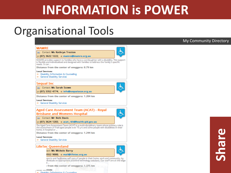### Organisational Tools

### **MAMRE**

### **All** Contact: Ms Kathryn Treston



్ర

৬

### p: (07) 3622 1222, e: mamre@mamre.org.au

MAMRE provides support to families who have a son/daughter with a disability. This support is flexible and individualised and designed with families to address the family's specific needs. It can ...

Distance from the center of enoggera: 0.79 km

### **Local Services:**

- >> Disability Information & Counselling
- >> General Disability Services

### **Segual Inc**

**All** Contact: Ms Sarah Scown



Distance from the center of enoggera: 1.204 km

### **Local Services:**

>> General Disability Services

### Aged Care Assessment Team (ACAT) - Royal **Brisbane and Womens Hospital**

- **All** Contact: Mr Belk Davis
- p: (07) 3624 1203, e: acat\_rbh@health.qld.gov.au

The Aged Care Assessment Team (ACAT) is a multi-disciplinary team whose primary role is the assessment of frail aged people over 70 yrs and some people with disabilities in their home, in hospital or ...

Distance from the center of enoggera: 1.244 km

### **Local Services:**

>> General Disability Services

### **LifeTec Queensland**

tact: Ms Michele Barry

3552 9000, e: mail@lifetec.org.au

sports and facilitates self care of people in their home, work and community, by dividuals on appropriate assistive technology solutions. Our staff are at the edge  $B =$ 

from the center of enoggera: 1.375 km

*<u>Sidest</u>* 55 Disability Information & Counselling

### My Community Directory

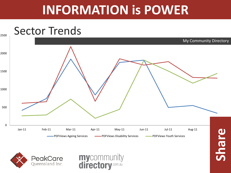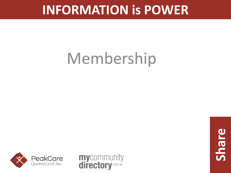# Membership

![](_page_9_Picture_2.jpeg)

![](_page_9_Picture_3.jpeg)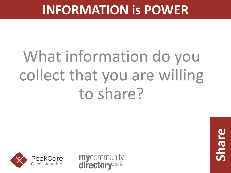# What information do you collect that you are willing to share?

![](_page_10_Picture_2.jpeg)

![](_page_10_Picture_3.jpeg)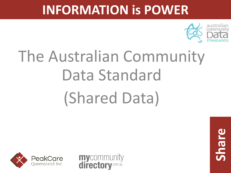![](_page_11_Picture_1.jpeg)

# The Australian Community Data Standard (Shared Data)

![](_page_11_Picture_3.jpeg)

![](_page_11_Picture_4.jpeg)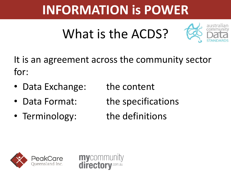## What is the ACDS?

![](_page_12_Picture_2.jpeg)

It is an agreement across the community sector for:

- Data Exchange: the content
- Data Format: the specifications
- Terminology: the definitions
- -

![](_page_12_Picture_9.jpeg)

![](_page_12_Picture_10.jpeg)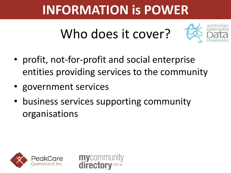## Who does it cover?

![](_page_13_Picture_2.jpeg)

- profit, not-for-profit and social enterprise entities providing services to the community
- government services
- business services supporting community organisations

mycommur

directo

![](_page_13_Picture_6.jpeg)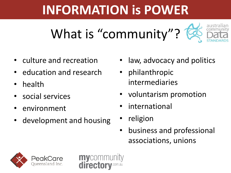![](_page_14_Picture_1.jpeg)

- culture and recreation
- education and research
- health
- social services
- environment
- development and housing

mycommun

director

- law, advocacy and politics
- philanthropic intermediaries
- voluntarism promotion
- *international*
- religion
- business and professional associations, unions

![](_page_14_Picture_14.jpeg)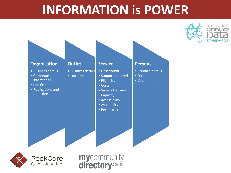australian

![](_page_15_Figure_1.jpeg)

**mycommunity**<br>**directory**.com.au

![](_page_15_Picture_2.jpeg)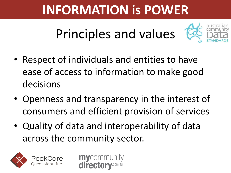Principles and values

![](_page_16_Picture_2.jpeg)

- Respect of individuals and entities to have ease of access to information to make good decisions
- Openness and transparency in the interest of consumers and efficient provision of services
- Quality of data and interoperability of data across the community sector.

mycommun

directo

![](_page_16_Picture_6.jpeg)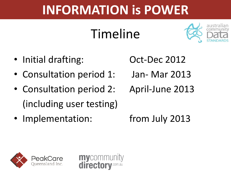## Timeline

mycommun

director

![](_page_17_Picture_2.jpeg)

- Initial drafting: Oct-Dec 2012
- Consultation period 1: Jan- Mar 2013
- Consultation period 2: April-June 2013 (including user testing)
- Implementation: from July 2013
- 
- 
- 

![](_page_17_Picture_11.jpeg)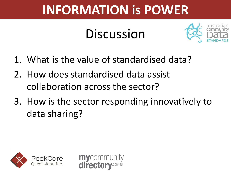## **Discussion**

![](_page_18_Picture_2.jpeg)

- 1. What is the value of standardised data?
- 2. How does standardised data assist collaboration across the sector?

mycomm

director

3. How is the sector responding innovatively to data sharing?

![](_page_18_Picture_6.jpeg)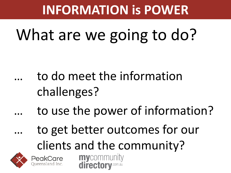# What are we going to do?

- to do meet the information challenges?
	- to use the power of information?
- to get better outcomes for our clients and the community? **mycommunity**<br>**directory.com.au**

![](_page_19_Picture_5.jpeg)

![](_page_19_Picture_6.jpeg)